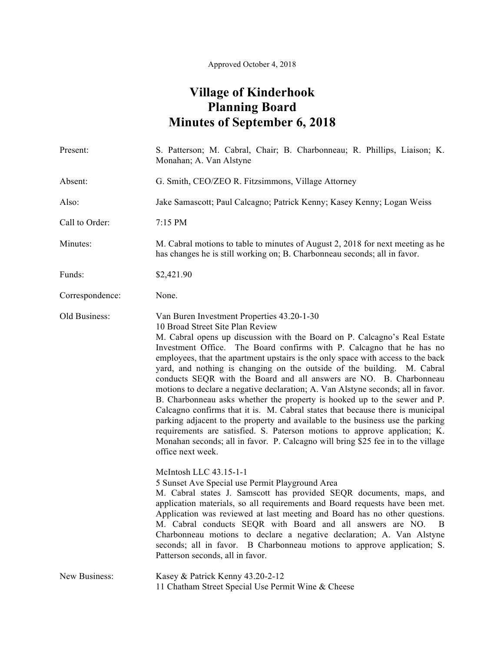## **Village of Kinderhook Planning Board Minutes of September 6, 2018**

| Present:        | S. Patterson; M. Cabral, Chair; B. Charbonneau; R. Phillips, Liaison; K.<br>Monahan; A. Van Alstyne                                                                                                                                                                                                                                                                                                                                                                                                                                                                                                                                                                                                                                                                                                                                                                                                                                                                                                    |
|-----------------|--------------------------------------------------------------------------------------------------------------------------------------------------------------------------------------------------------------------------------------------------------------------------------------------------------------------------------------------------------------------------------------------------------------------------------------------------------------------------------------------------------------------------------------------------------------------------------------------------------------------------------------------------------------------------------------------------------------------------------------------------------------------------------------------------------------------------------------------------------------------------------------------------------------------------------------------------------------------------------------------------------|
| Absent:         | G. Smith, CEO/ZEO R. Fitzsimmons, Village Attorney                                                                                                                                                                                                                                                                                                                                                                                                                                                                                                                                                                                                                                                                                                                                                                                                                                                                                                                                                     |
| Also:           | Jake Samascott; Paul Calcagno; Patrick Kenny; Kasey Kenny; Logan Weiss                                                                                                                                                                                                                                                                                                                                                                                                                                                                                                                                                                                                                                                                                                                                                                                                                                                                                                                                 |
| Call to Order:  | 7:15 PM                                                                                                                                                                                                                                                                                                                                                                                                                                                                                                                                                                                                                                                                                                                                                                                                                                                                                                                                                                                                |
| Minutes:        | M. Cabral motions to table to minutes of August 2, 2018 for next meeting as he<br>has changes he is still working on; B. Charbonneau seconds; all in favor.                                                                                                                                                                                                                                                                                                                                                                                                                                                                                                                                                                                                                                                                                                                                                                                                                                            |
| Funds:          | \$2,421.90                                                                                                                                                                                                                                                                                                                                                                                                                                                                                                                                                                                                                                                                                                                                                                                                                                                                                                                                                                                             |
| Correspondence: | None.                                                                                                                                                                                                                                                                                                                                                                                                                                                                                                                                                                                                                                                                                                                                                                                                                                                                                                                                                                                                  |
| Old Business:   | Van Buren Investment Properties 43.20-1-30<br>10 Broad Street Site Plan Review<br>M. Cabral opens up discussion with the Board on P. Calcagno's Real Estate<br>Investment Office. The Board confirms with P. Calcagno that he has no<br>employees, that the apartment upstairs is the only space with access to the back<br>yard, and nothing is changing on the outside of the building. M. Cabral<br>conducts SEQR with the Board and all answers are NO. B. Charbonneau<br>motions to declare a negative declaration; A. Van Alstyne seconds; all in favor.<br>B. Charbonneau asks whether the property is hooked up to the sewer and P.<br>Calcagno confirms that it is. M. Cabral states that because there is municipal<br>parking adjacent to the property and available to the business use the parking<br>requirements are satisfied. S. Paterson motions to approve application; K.<br>Monahan seconds; all in favor. P. Calcagno will bring \$25 fee in to the village<br>office next week. |
|                 | McIntosh LLC 43.15-1-1<br>5 Sunset Ave Special use Permit Playground Area<br>M. Cabral states J. Samscott has provided SEQR documents, maps, and<br>application materials, so all requirements and Board requests have been met.<br>Application was reviewed at last meeting and Board has no other questions.<br>M. Cabral conducts SEQR with Board and all answers are NO.<br>B<br>Charbonneau motions to declare a negative declaration; A. Van Alstyne<br>seconds; all in favor. B Charbonneau motions to approve application; S.<br>Patterson seconds, all in favor.                                                                                                                                                                                                                                                                                                                                                                                                                              |
| New Business:   | Kasey & Patrick Kenny 43.20-2-12<br>11 Chatham Street Special Use Permit Wine & Cheese                                                                                                                                                                                                                                                                                                                                                                                                                                                                                                                                                                                                                                                                                                                                                                                                                                                                                                                 |